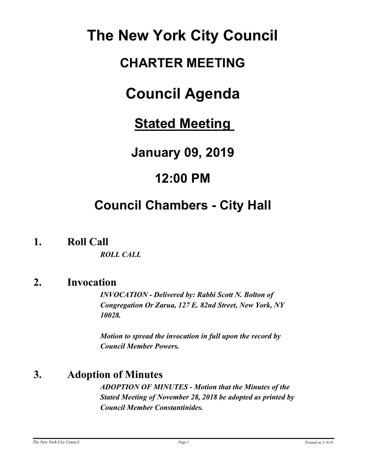# **The New York City Council**

# **CHARTER MEETING**

# **Council Agenda**

**Stated Meeting** 

**January 09, 2019**

# **12:00 PM**

# **Council Chambers - City Hall**

**1. Roll Call**

*ROLL CALL*

## **2. Invocation**

*INVOCATION - Delivered by: Rabbi Scott N. Bolton of Congregation Or Zarua, 127 E. 82nd Street, New York, NY 10028.*

*Motion to spread the invocation in full upon the record by Council Member Powers.*

# **3. Adoption of Minutes**

*ADOPTION OF MINUTES - Motion that the Minutes of the Stated Meeting of November 28, 2018 be adopted as printed by Council Member Constantinides.*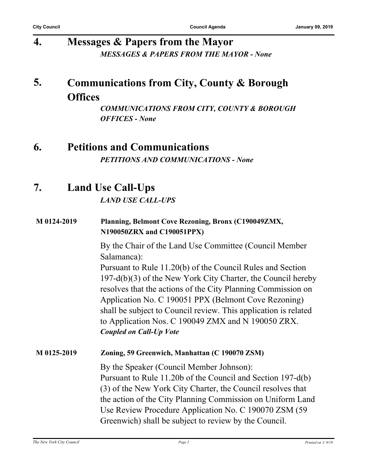# **4. Messages & Papers from the Mayor** *MESSAGES & PAPERS FROM THE MAYOR - None*

#### **Communications from City, County & Borough Offices 5.**

*COMMUNICATIONS FROM CITY, COUNTY & BOROUGH OFFICES - None*

## **6. Petitions and Communications** *PETITIONS AND COMMUNICATIONS - None*

# **7. Land Use Call-Ups**

*LAND USE CALL-UPS*

#### **M 0124-2019 Planning, Belmont Cove Rezoning, Bronx (C190049ZMX, N190050ZRX and C190051PPX)**

By the Chair of the Land Use Committee (Council Member Salamanca):

Pursuant to Rule 11.20(b) of the Council Rules and Section 197-d(b)(3) of the New York City Charter, the Council hereby resolves that the actions of the City Planning Commission on Application No. C 190051 PPX (Belmont Cove Rezoning) shall be subject to Council review. This application is related to Application Nos. C 190049 ZMX and N 190050 ZRX. *Coupled on Call-Up Vote*

#### **M 0125-2019 Zoning, 59 Greenwich, Manhattan (C 190070 ZSM)**

By the Speaker (Council Member Johnson): Pursuant to Rule 11.20b of the Council and Section 197-d(b) (3) of the New York City Charter, the Council resolves that the action of the City Planning Commission on Uniform Land Use Review Procedure Application No. C 190070 ZSM (59 Greenwich) shall be subject to review by the Council.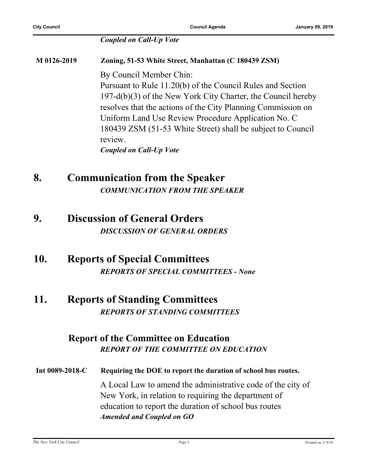#### *Coupled on Call-Up Vote*

**M 0126-2019 Zoning, 51-53 White Street, Manhattan (C 180439 ZSM)** By Council Member Chin: Pursuant to Rule 11.20(b) of the Council Rules and Section 197-d(b)(3) of the New York City Charter, the Council hereby resolves that the actions of the City Planning Commission on Uniform Land Use Review Procedure Application No. C 180439 ZSM (51-53 White Street) shall be subject to Council review. *Coupled on Call-Up Vote*

## **8. Communication from the Speaker** *COMMUNICATION FROM THE SPEAKER*

**9. Discussion of General Orders** *DISCUSSION OF GENERAL ORDERS*

#### **10. Reports of Special Committees** *REPORTS OF SPECIAL COMMITTEES - None*

### **11. Reports of Standing Committees** *REPORTS OF STANDING COMMITTEES*

#### **Report of the Committee on Education** *REPORT OF THE COMMITTEE ON EDUCATION*

**Int 0089-2018-C Requiring the DOE to report the duration of school bus routes.** A Local Law to amend the administrative code of the city of New York, in relation to requiring the department of education to report the duration of school bus routes *Amended and Coupled on GO*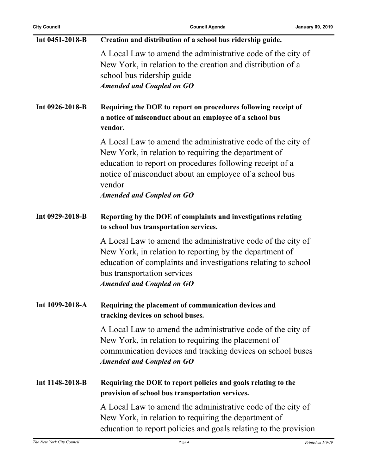| Int 0451-2018-B | Creation and distribution of a school bus ridership guide.                                                                                                                                                                                                                              |
|-----------------|-----------------------------------------------------------------------------------------------------------------------------------------------------------------------------------------------------------------------------------------------------------------------------------------|
|                 | A Local Law to amend the administrative code of the city of<br>New York, in relation to the creation and distribution of a<br>school bus ridership guide<br><b>Amended and Coupled on GO</b>                                                                                            |
| Int 0926-2018-B | Requiring the DOE to report on procedures following receipt of<br>a notice of misconduct about an employee of a school bus<br>vendor.                                                                                                                                                   |
|                 | A Local Law to amend the administrative code of the city of<br>New York, in relation to requiring the department of<br>education to report on procedures following receipt of a<br>notice of misconduct about an employee of a school bus<br>vendor<br><b>Amended and Coupled on GO</b> |
|                 |                                                                                                                                                                                                                                                                                         |
| Int 0929-2018-B | Reporting by the DOE of complaints and investigations relating<br>to school bus transportation services.                                                                                                                                                                                |
|                 | A Local Law to amend the administrative code of the city of<br>New York, in relation to reporting by the department of<br>education of complaints and investigations relating to school<br>bus transportation services<br><b>Amended and Coupled on GO</b>                              |
| Int 1099-2018-A | Requiring the placement of communication devices and<br>tracking devices on school buses.                                                                                                                                                                                               |
|                 | A Local Law to amend the administrative code of the city of<br>New York, in relation to requiring the placement of<br>communication devices and tracking devices on school buses<br><b>Amended and Coupled on GO</b>                                                                    |
| Int 1148-2018-B | Requiring the DOE to report policies and goals relating to the<br>provision of school bus transportation services.                                                                                                                                                                      |
|                 | A Local Law to amend the administrative code of the city of<br>New York, in relation to requiring the department of<br>education to report policies and goals relating to the provision                                                                                                 |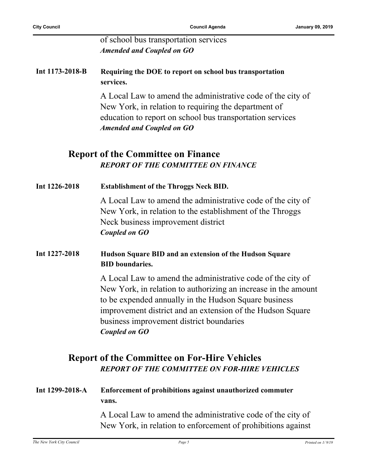of school bus transportation services *Amended and Coupled on GO*

#### **Int 1173-2018-B Requiring the DOE to report on school bus transportation services.**

A Local Law to amend the administrative code of the city of New York, in relation to requiring the department of education to report on school bus transportation services *Amended and Coupled on GO*

#### **Report of the Committee on Finance** *REPORT OF THE COMMITTEE ON FINANCE*

| Int 1226-2018   | <b>Establishment of the Throggs Neck BID.</b>                                                                                                                                                                                                                                                                            |
|-----------------|--------------------------------------------------------------------------------------------------------------------------------------------------------------------------------------------------------------------------------------------------------------------------------------------------------------------------|
|                 | A Local Law to amend the administrative code of the city of<br>New York, in relation to the establishment of the Throggs<br>Neck business improvement district<br>Coupled on GO                                                                                                                                          |
| Int 1227-2018   | Hudson Square BID and an extension of the Hudson Square<br><b>BID</b> boundaries.                                                                                                                                                                                                                                        |
|                 | A Local Law to amend the administrative code of the city of<br>New York, in relation to authorizing an increase in the amount<br>to be expended annually in the Hudson Square business<br>improvement district and an extension of the Hudson Square<br>business improvement district boundaries<br><b>Coupled on GO</b> |
|                 | <b>Report of the Committee on For-Hire Vehicles</b><br><b>REPORT OF THE COMMITTEE ON FOR-HIRE VEHICLES</b>                                                                                                                                                                                                               |
| Int 1299-2018-A | Enforcement of prohibitions against unauthorized commuter<br>vans.                                                                                                                                                                                                                                                       |
|                 | A Local Law to amend the administrative code of the city of<br>New York, in relation to enforcement of prohibitions against                                                                                                                                                                                              |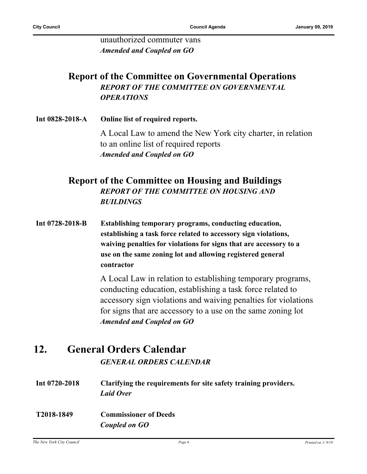unauthorized commuter vans *Amended and Coupled on GO*

### **Report of the Committee on Governmental Operations** *REPORT OF THE COMMITTEE ON GOVERNMENTAL OPERATIONS*

**Int 0828-2018-A Online list of required reports.** A Local Law to amend the New York city charter, in relation to an online list of required reports *Amended and Coupled on GO*

#### **Report of the Committee on Housing and Buildings** *REPORT OF THE COMMITTEE ON HOUSING AND BUILDINGS*

**Int 0728-2018-B Establishing temporary programs, conducting education, establishing a task force related to accessory sign violations, waiving penalties for violations for signs that are accessory to a use on the same zoning lot and allowing registered general contractor**

> A Local Law in relation to establishing temporary programs, conducting education, establishing a task force related to accessory sign violations and waiving penalties for violations for signs that are accessory to a use on the same zoning lot *Amended and Coupled on GO*

### **12. General Orders Calendar** *GENERAL ORDERS CALENDAR*

- **Int 0720-2018 Clarifying the requirements for site safety training providers.** *Laid Over*
- **T2018-1849 Commissioner of Deeds** *Coupled on GO*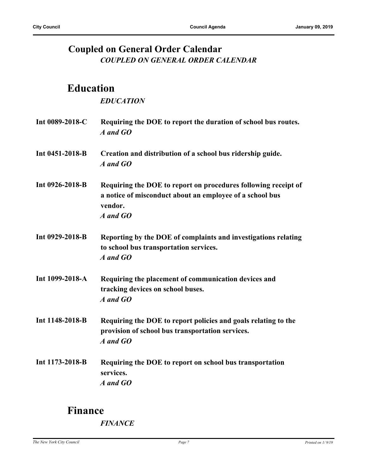## **Coupled on General Order Calendar** *COUPLED ON GENERAL ORDER CALENDAR*

# **Education**

#### *EDUCATION*

| Int 0089-2018-C | Requiring the DOE to report the duration of school bus routes.<br>A and GO                                                                        |
|-----------------|---------------------------------------------------------------------------------------------------------------------------------------------------|
| Int 0451-2018-B | Creation and distribution of a school bus ridership guide.<br>A and GO                                                                            |
| Int 0926-2018-B | Requiring the DOE to report on procedures following receipt of<br>a notice of misconduct about an employee of a school bus<br>vendor.<br>A and GO |
| Int 0929-2018-B | Reporting by the DOE of complaints and investigations relating<br>to school bus transportation services.<br>A and GO                              |
| Int 1099-2018-A | Requiring the placement of communication devices and<br>tracking devices on school buses.<br>A and GO                                             |
| Int 1148-2018-B | Requiring the DOE to report policies and goals relating to the<br>provision of school bus transportation services.<br>A and GO                    |
| Int 1173-2018-B | Requiring the DOE to report on school bus transportation<br>services.<br>A and GO                                                                 |

# **Finance**

*FINANCE*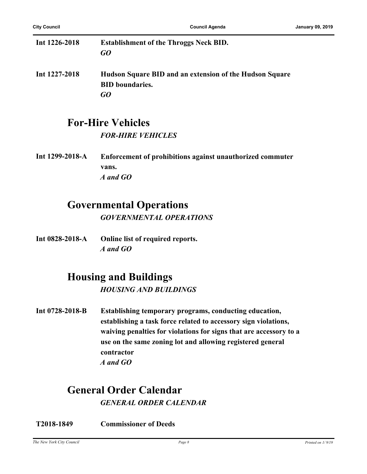| Int $1226 - 2018$ | <b>Establishment of the Throggs Neck BID.</b><br>GO                               |
|-------------------|-----------------------------------------------------------------------------------|
|                   |                                                                                   |
| Int 1227-2018     | Hudson Square BID and an extension of the Hudson Square<br><b>BID</b> boundaries. |
|                   | GO                                                                                |

# **For-Hire Vehicles**

*FOR-HIRE VEHICLES*

**Int 1299-2018-A Enforcement of prohibitions against unauthorized commuter vans.** *A and GO*

## **Governmental Operations**

*GOVERNMENTAL OPERATIONS*

**Int 0828-2018-A Online list of required reports.** *A and GO*

## **Housing and Buildings**

*HOUSING AND BUILDINGS*

**Int 0728-2018-B Establishing temporary programs, conducting education, establishing a task force related to accessory sign violations, waiving penalties for violations for signs that are accessory to a use on the same zoning lot and allowing registered general contractor** *A and GO*

## **General Order Calendar** *GENERAL ORDER CALENDAR*

**T2018-1849 Commissioner of Deeds**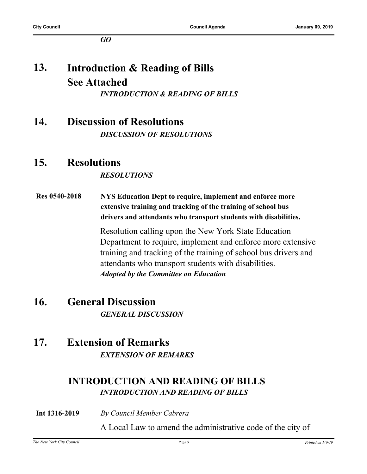*GO*

#### **Introduction & Reading of Bills See Attached 13.** *INTRODUCTION & READING OF BILLS*

**14. Discussion of Resolutions** *DISCUSSION OF RESOLUTIONS*

## **15. Resolutions**

#### *RESOLUTIONS*

**Res 0540-2018 NYS Education Dept to require, implement and enforce more extensive training and tracking of the training of school bus drivers and attendants who transport students with disabilities.**

> Resolution calling upon the New York State Education Department to require, implement and enforce more extensive training and tracking of the training of school bus drivers and attendants who transport students with disabilities. *Adopted by the Committee on Education*

**16. General Discussion** *GENERAL DISCUSSION*

### **17. Extension of Remarks** *EXTENSION OF REMARKS*

### **INTRODUCTION AND READING OF BILLS** *INTRODUCTION AND READING OF BILLS*

**Int 1316-2019** *By Council Member Cabrera*

A Local Law to amend the administrative code of the city of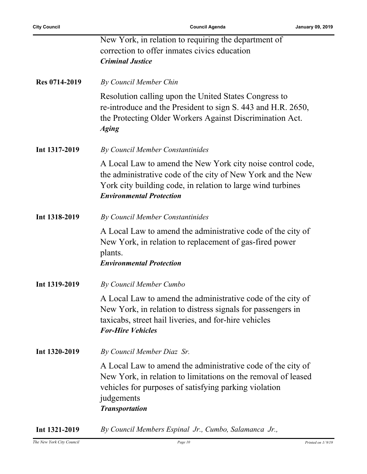|               | New York, in relation to requiring the department of                                                                                                                                                                         |
|---------------|------------------------------------------------------------------------------------------------------------------------------------------------------------------------------------------------------------------------------|
|               | correction to offer inmates civics education                                                                                                                                                                                 |
|               | <b>Criminal Justice</b>                                                                                                                                                                                                      |
|               |                                                                                                                                                                                                                              |
| Res 0714-2019 | By Council Member Chin                                                                                                                                                                                                       |
|               | Resolution calling upon the United States Congress to<br>re-introduce and the President to sign S. 443 and H.R. 2650,<br>the Protecting Older Workers Against Discrimination Act.<br><b>Aging</b>                            |
| Int 1317-2019 | By Council Member Constantinides                                                                                                                                                                                             |
|               | A Local Law to amend the New York city noise control code,<br>the administrative code of the city of New York and the New<br>York city building code, in relation to large wind turbines<br><b>Environmental Protection</b>  |
| Int 1318-2019 | By Council Member Constantinides                                                                                                                                                                                             |
|               | A Local Law to amend the administrative code of the city of<br>New York, in relation to replacement of gas-fired power<br>plants.<br><b>Environmental Protection</b>                                                         |
| Int 1319-2019 | By Council Member Cumbo                                                                                                                                                                                                      |
|               | A Local Law to amend the administrative code of the city of<br>New York, in relation to distress signals for passengers in<br>taxicabs, street hail liveries, and for-hire vehicles<br><b>For-Hire Vehicles</b>              |
| Int 1320-2019 | By Council Member Diaz Sr.                                                                                                                                                                                                   |
|               | A Local Law to amend the administrative code of the city of<br>New York, in relation to limitations on the removal of leased<br>vehicles for purposes of satisfying parking violation<br>judgements<br><b>Transportation</b> |
|               |                                                                                                                                                                                                                              |

**Int 1321-2019** *By Council Members Espinal Jr., Cumbo, Salamanca Jr.,*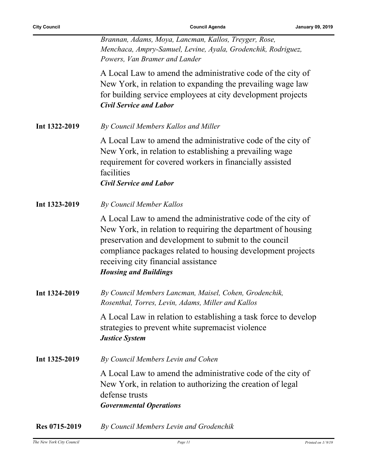*Brannan, Adams, Moya, Lancman, Kallos, Treyger, Rose, Menchaca, Ampry-Samuel, Levine, Ayala, Grodenchik, Rodriguez, Powers, Van Bramer and Lander*

A Local Law to amend the administrative code of the city of New York, in relation to expanding the prevailing wage law for building service employees at city development projects *Civil Service and Labor*

**Int 1322-2019** *By Council Members Kallos and Miller*

A Local Law to amend the administrative code of the city of New York, in relation to establishing a prevailing wage requirement for covered workers in financially assisted facilities *Civil Service and Labor*

**Int 1323-2019** *By Council Member Kallos*

A Local Law to amend the administrative code of the city of New York, in relation to requiring the department of housing preservation and development to submit to the council compliance packages related to housing development projects receiving city financial assistance *Housing and Buildings*

**Int 1324-2019** *By Council Members Lancman, Maisel, Cohen, Grodenchik, Rosenthal, Torres, Levin, Adams, Miller and Kallos*

> A Local Law in relation to establishing a task force to develop strategies to prevent white supremacist violence *Justice System*

**Int 1325-2019** *By Council Members Levin and Cohen*

A Local Law to amend the administrative code of the city of New York, in relation to authorizing the creation of legal defense trusts *Governmental Operations*

**Res 0715-2019** *By Council Members Levin and Grodenchik*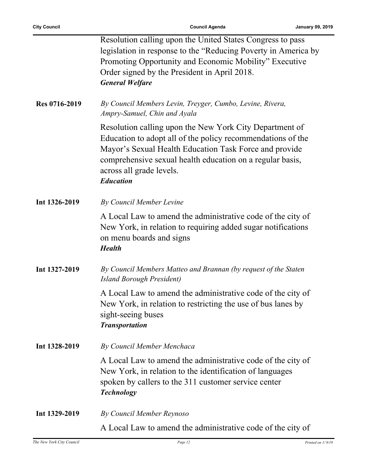j.

|               | Resolution calling upon the United States Congress to pass<br>legislation in response to the "Reducing Poverty in America by<br>Promoting Opportunity and Economic Mobility" Executive<br>Order signed by the President in April 2018.<br><b>General Welfare</b>                              |
|---------------|-----------------------------------------------------------------------------------------------------------------------------------------------------------------------------------------------------------------------------------------------------------------------------------------------|
| Res 0716-2019 | By Council Members Levin, Treyger, Cumbo, Levine, Rivera,<br>Ampry-Samuel, Chin and Ayala                                                                                                                                                                                                     |
|               | Resolution calling upon the New York City Department of<br>Education to adopt all of the policy recommendations of the<br>Mayor's Sexual Health Education Task Force and provide<br>comprehensive sexual health education on a regular basis,<br>across all grade levels.<br><b>Education</b> |
| Int 1326-2019 | By Council Member Levine                                                                                                                                                                                                                                                                      |
|               | A Local Law to amend the administrative code of the city of<br>New York, in relation to requiring added sugar notifications<br>on menu boards and signs<br><b>Health</b>                                                                                                                      |
| Int 1327-2019 | By Council Members Matteo and Brannan (by request of the Staten<br>Island Borough President)                                                                                                                                                                                                  |
|               | A Local Law to amend the administrative code of the city of<br>New York, in relation to restricting the use of bus lanes by<br>sight-seeing buses<br><b>Transportation</b>                                                                                                                    |
| Int 1328-2019 | By Council Member Menchaca                                                                                                                                                                                                                                                                    |
|               | A Local Law to amend the administrative code of the city of<br>New York, in relation to the identification of languages<br>spoken by callers to the 311 customer service center<br><b>Technology</b>                                                                                          |
| Int 1329-2019 | By Council Member Reynoso                                                                                                                                                                                                                                                                     |
|               | A Local Law to amend the administrative code of the city of                                                                                                                                                                                                                                   |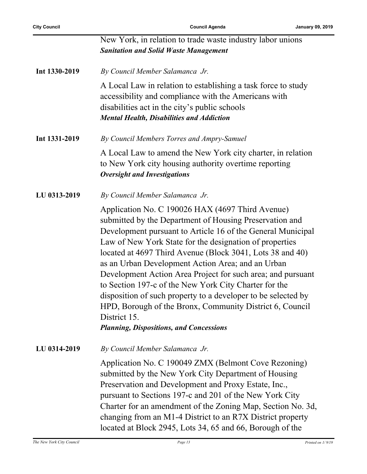|               | New York, in relation to trade waste industry labor unions<br><b>Sanitation and Solid Waste Management</b>                                                                                                                                                                                                                                                                                                                                                                                                                                                                                                                                                                     |
|---------------|--------------------------------------------------------------------------------------------------------------------------------------------------------------------------------------------------------------------------------------------------------------------------------------------------------------------------------------------------------------------------------------------------------------------------------------------------------------------------------------------------------------------------------------------------------------------------------------------------------------------------------------------------------------------------------|
| Int 1330-2019 | By Council Member Salamanca Jr.                                                                                                                                                                                                                                                                                                                                                                                                                                                                                                                                                                                                                                                |
|               | A Local Law in relation to establishing a task force to study<br>accessibility and compliance with the Americans with<br>disabilities act in the city's public schools<br><b>Mental Health, Disabilities and Addiction</b>                                                                                                                                                                                                                                                                                                                                                                                                                                                     |
| Int 1331-2019 | By Council Members Torres and Ampry-Samuel                                                                                                                                                                                                                                                                                                                                                                                                                                                                                                                                                                                                                                     |
|               | A Local Law to amend the New York city charter, in relation<br>to New York city housing authority overtime reporting<br><b>Oversight and Investigations</b>                                                                                                                                                                                                                                                                                                                                                                                                                                                                                                                    |
| LU 0313-2019  | By Council Member Salamanca Jr.                                                                                                                                                                                                                                                                                                                                                                                                                                                                                                                                                                                                                                                |
|               | Application No. C 190026 HAX (4697 Third Avenue)<br>submitted by the Department of Housing Preservation and<br>Development pursuant to Article 16 of the General Municipal<br>Law of New York State for the designation of properties<br>located at 4697 Third Avenue (Block 3041, Lots 38 and 40)<br>as an Urban Development Action Area; and an Urban<br>Development Action Area Project for such area; and pursuant<br>to Section 197-c of the New York City Charter for the<br>disposition of such property to a developer to be selected by<br>HPD, Borough of the Bronx, Community District 6, Council<br>District 15.<br><b>Planning, Dispositions, and Concessions</b> |
| LU 0314-2019  | By Council Member Salamanca Jr.                                                                                                                                                                                                                                                                                                                                                                                                                                                                                                                                                                                                                                                |
|               | Application No. C 190049 ZMX (Belmont Cove Rezoning)<br>submitted by the New York City Department of Housing<br>Preservation and Development and Proxy Estate, Inc.,<br>pursuant to Sections 197-c and 201 of the New York City<br>Charter for an amendment of the Zoning Map, Section No. 3d,<br>changing from an M1-4 District to an R7X District property<br>located at Block 2945, Lots 34, 65 and 66, Borough of the                                                                                                                                                                                                                                                      |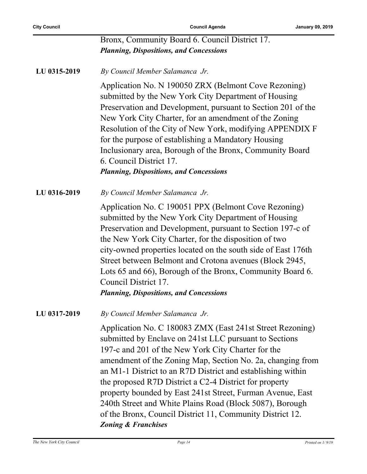|              | Bronx, Community Board 6. Council District 17.<br><b>Planning, Dispositions, and Concessions</b>                                                                                                                                                                                                                                                                                                                                                                                                                                                                                          |
|--------------|-------------------------------------------------------------------------------------------------------------------------------------------------------------------------------------------------------------------------------------------------------------------------------------------------------------------------------------------------------------------------------------------------------------------------------------------------------------------------------------------------------------------------------------------------------------------------------------------|
| LU 0315-2019 | By Council Member Salamanca Jr.                                                                                                                                                                                                                                                                                                                                                                                                                                                                                                                                                           |
|              | Application No. N 190050 ZRX (Belmont Cove Rezoning)<br>submitted by the New York City Department of Housing<br>Preservation and Development, pursuant to Section 201 of the<br>New York City Charter, for an amendment of the Zoning<br>Resolution of the City of New York, modifying APPENDIX F<br>for the purpose of establishing a Mandatory Housing<br>Inclusionary area, Borough of the Bronx, Community Board<br>6. Council District 17.<br><b>Planning, Dispositions, and Concessions</b>                                                                                         |
| LU 0316-2019 | By Council Member Salamanca Jr.                                                                                                                                                                                                                                                                                                                                                                                                                                                                                                                                                           |
|              | Application No. C 190051 PPX (Belmont Cove Rezoning)<br>submitted by the New York City Department of Housing<br>Preservation and Development, pursuant to Section 197-c of<br>the New York City Charter, for the disposition of two<br>city-owned properties located on the south side of East 176th<br>Street between Belmont and Crotona avenues (Block 2945,<br>Lots 65 and 66), Borough of the Bronx, Community Board 6.<br>Council District 17.<br><b>Planning, Dispositions, and Concessions</b>                                                                                    |
| LU 0317-2019 | By Council Member Salamanca Jr.                                                                                                                                                                                                                                                                                                                                                                                                                                                                                                                                                           |
|              | Application No. C 180083 ZMX (East 241st Street Rezoning)<br>submitted by Enclave on 241st LLC pursuant to Sections<br>197-c and 201 of the New York City Charter for the<br>amendment of the Zoning Map, Section No. 2a, changing from<br>an M1-1 District to an R7D District and establishing within<br>the proposed R7D District a C2-4 District for property<br>property bounded by East 241st Street, Furman Avenue, East<br>240th Street and White Plains Road (Block 5087), Borough<br>of the Bronx, Council District 11, Community District 12.<br><b>Zoning &amp; Franchises</b> |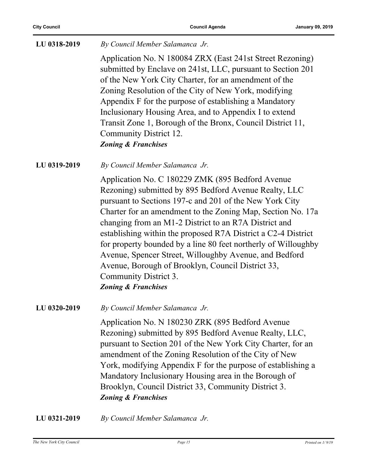| LU 0318-2019 | By Council Member Salamanca Jr.                                                                                                                                                                                                                                                                                                                                                                                                                                                                                                                                                                           |
|--------------|-----------------------------------------------------------------------------------------------------------------------------------------------------------------------------------------------------------------------------------------------------------------------------------------------------------------------------------------------------------------------------------------------------------------------------------------------------------------------------------------------------------------------------------------------------------------------------------------------------------|
|              | Application No. N 180084 ZRX (East 241st Street Rezoning)<br>submitted by Enclave on 241st, LLC, pursuant to Section 201<br>of the New York City Charter, for an amendment of the<br>Zoning Resolution of the City of New York, modifying<br>Appendix F for the purpose of establishing a Mandatory<br>Inclusionary Housing Area, and to Appendix I to extend<br>Transit Zone 1, Borough of the Bronx, Council District 11,<br>Community District 12.<br><b>Zoning &amp; Franchises</b>                                                                                                                   |
| LU 0319-2019 | By Council Member Salamanca Jr.                                                                                                                                                                                                                                                                                                                                                                                                                                                                                                                                                                           |
|              | Application No. C 180229 ZMK (895 Bedford Avenue<br>Rezoning) submitted by 895 Bedford Avenue Realty, LLC<br>pursuant to Sections 197-c and 201 of the New York City<br>Charter for an amendment to the Zoning Map, Section No. 17a<br>changing from an M1-2 District to an R7A District and<br>establishing within the proposed R7A District a C2-4 District<br>for property bounded by a line 80 feet northerly of Willoughby<br>Avenue, Spencer Street, Willoughby Avenue, and Bedford<br>Avenue, Borough of Brooklyn, Council District 33,<br>Community District 3.<br><b>Zoning &amp; Franchises</b> |
| LU 0320-2019 | By Council Member Salamanca Jr.                                                                                                                                                                                                                                                                                                                                                                                                                                                                                                                                                                           |
|              | Application No. N 180230 ZRK (895 Bedford Avenue<br>Rezoning) submitted by 895 Bedford Avenue Realty, LLC,<br>pursuant to Section 201 of the New York City Charter, for an<br>amendment of the Zoning Resolution of the City of New<br>York, modifying Appendix F for the purpose of establishing a<br>Mandatory Inclusionary Housing area in the Borough of<br>Brooklyn, Council District 33, Community District 3.<br><b>Zoning &amp; Franchises</b>                                                                                                                                                    |
| LU 0321-2019 | By Council Member Salamanca Jr.                                                                                                                                                                                                                                                                                                                                                                                                                                                                                                                                                                           |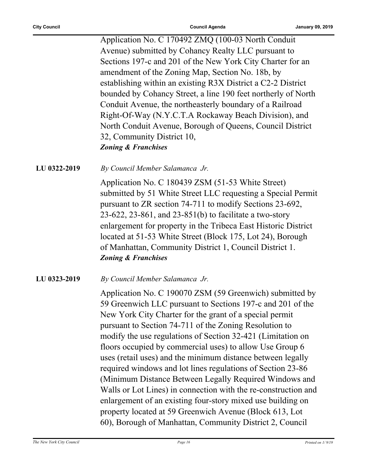Application No. C 170492 ZMQ (100-03 North Conduit Avenue) submitted by Cohancy Realty LLC pursuant to Sections 197-c and 201 of the New York City Charter for an amendment of the Zoning Map, Section No. 18b, by establishing within an existing R3X District a C2-2 District bounded by Cohancy Street, a line 190 feet northerly of North Conduit Avenue, the northeasterly boundary of a Railroad Right-Of-Way (N.Y.C.T.A Rockaway Beach Division), and North Conduit Avenue, Borough of Queens, Council District 32, Community District 10, *Zoning & Franchises*

**LU 0322-2019** *By Council Member Salamanca Jr.*

Application No. C 180439 ZSM (51-53 White Street) submitted by 51 White Street LLC requesting a Special Permit pursuant to ZR section 74-711 to modify Sections 23-692, 23-622, 23-861, and 23-851(b) to facilitate a two-story enlargement for property in the Tribeca East Historic District located at 51-53 White Street (Block 175, Lot 24), Borough of Manhattan, Community District 1, Council District 1. *Zoning & Franchises*

**LU 0323-2019** *By Council Member Salamanca Jr.*

Application No. C 190070 ZSM (59 Greenwich) submitted by 59 Greenwich LLC pursuant to Sections 197-c and 201 of the New York City Charter for the grant of a special permit pursuant to Section 74-711 of the Zoning Resolution to modify the use regulations of Section 32-421 (Limitation on floors occupied by commercial uses) to allow Use Group 6 uses (retail uses) and the minimum distance between legally required windows and lot lines regulations of Section 23-86 (Minimum Distance Between Legally Required Windows and Walls or Lot Lines) in connection with the re-construction and enlargement of an existing four-story mixed use building on property located at 59 Greenwich Avenue (Block 613, Lot 60), Borough of Manhattan, Community District 2, Council